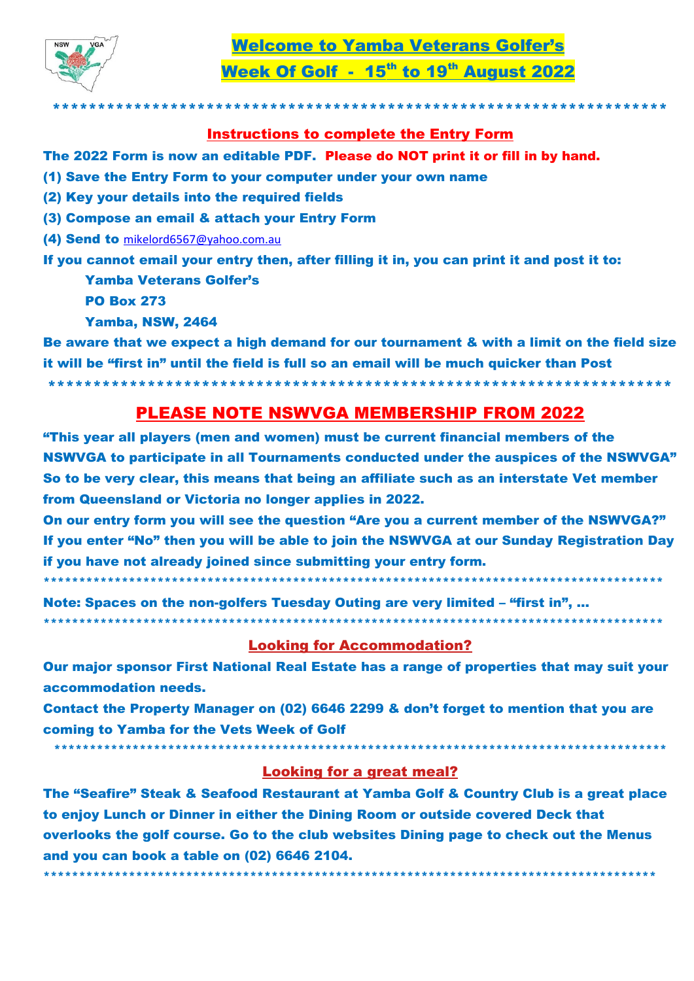

Week Of Golf - 15th to 19th August 2022

## **Instructions to complete the Entry Form**

- The 2022 Form is now an editable PDF. Please do NOT print it or fill in by hand.
- (1) Save the Entry Form to your computer under your own name
- (2) Key your details into the required fields
- (3) Compose an email & attach your Entry Form
- (4) Send to mikelord6567@yahoo.com.au

If you cannot email your entry then, after filling it in, you can print it and post it to: **Yamba Veterans Golfer's** 

- **PO Box 273**
- **Yamba, NSW, 2464**

Be aware that we expect a high demand for our tournament & with a limit on the field size it will be "first in" until the field is full so an email will be much quicker than Post

## **PLEASE NOTE NSWVGA MEMBERSHIP FROM 2022**

"This year all players (men and women) must be current financial members of the NSWVGA to participate in all Tournaments conducted under the auspices of the NSWVGA" So to be very clear, this means that being an affiliate such as an interstate Vet member from Queensland or Victoria no longer applies in 2022.

On our entry form you will see the question "Are you a current member of the NSWVGA?" If you enter "No" then you will be able to join the NSWVGA at our Sunday Registration Day if you have not already joined since submitting your entry form.

Note: Spaces on the non-golfers Tuesday Outing are very limited - "first in", ... \*\*\*\*\*\*\*\*\*\*\*\*

## **Looking for Accommodation?**

Our major sponsor First National Real Estate has a range of properties that may suit your accommodation needs.

Contact the Property Manager on (02) 6646 2299 & don't forget to mention that you are coming to Yamba for the Vets Week of Golf

**Looking for a great meal?** 

The "Seafire" Steak & Seafood Restaurant at Yamba Golf & Country Club is a great place to enjoy Lunch or Dinner in either the Dining Room or outside covered Deck that overlooks the golf course. Go to the club websites Dining page to check out the Menus and you can book a table on (02) 6646 2104.